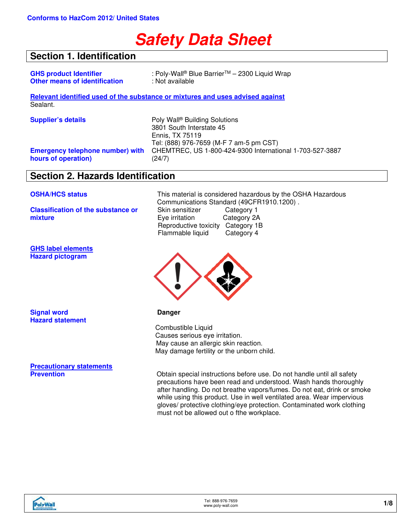# **Safety Data Sheet**

## **Section 1. Identification**

| <b>GHS product Identifier</b>        | : Poly-Wall® Blue Barrier™ - 2300 Liquid Wrap |
|--------------------------------------|-----------------------------------------------|
| <b>Other means of identification</b> | : Not available                               |

**Relevant identified used of the substance or mixtures and uses advised against** Sealant.

|  |  | <b>Supplier's details</b> |  |
|--|--|---------------------------|--|
|--|--|---------------------------|--|

**Emergency telephone number) with hours of operation)**

Poly Wall<sup>®</sup> Building Solutions 3801 South Interstate 45 Ennis, TX 75119 Tel: (888) 976-7659 (M-F 7 am-5 pm CST) CHEMTREC, US 1-800-424-9300 International 1-703-527-3887 (24/7)

## **Section 2. Hazards Identification**

**Classification of the substance or mixture**

**GHS label elements Hazard pictogram**

**OSHA/HCS status** This material is considered hazardous by the OSHA Hazardous Communications Standard (49CFR1910.1200).<br>Skin sensitizer Category 1 Skin sensitizer Eye irritation Category 2A Reproductive toxicity Category 1B<br>Flammable liquid Category 4 Flammable liquid



**Signal word Danger Hazard statement**

**Precautionary statements**

 Combustible Liquid Causes serious eye irritation. May cause an allergic skin reaction. May damage fertility or the unborn child.

**Previolisher Special instructions before use. Do not handle until all safety** precautions have been read and understood. Wash hands thoroughly after handling. Do not breathe vapors/fumes. Do not eat, drink or smoke while using this product. Use in well ventilated area. Wear impervious gloves/ protective clothing/eye protection. Contaminated work clothing must not be allowed out o fthe workplace.

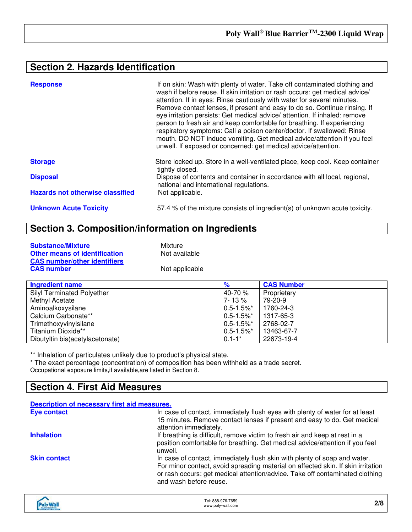## **Section 2. Hazards Identification**

| <b>Response</b>                         | If on skin: Wash with plenty of water. Take off contaminated clothing and<br>wash if before reuse. If skin irritation or rash occurs: get medical advice/<br>attention. If in eyes: Rinse cautiously with water for several minutes.<br>Remove contact lenses, if present and easy to do so. Continue rinsing. If<br>eye irritation persists: Get medical advice/ attention. If inhaled: remove<br>person to fresh air and keep comfortable for breathing. If experiencing<br>respiratory symptoms: Call a poison center/doctor. If swallowed: Rinse<br>mouth. DO NOT induce vomiting. Get medical advice/attention if you feel<br>unwell. If exposed or concerned: get medical advice/attention. |
|-----------------------------------------|---------------------------------------------------------------------------------------------------------------------------------------------------------------------------------------------------------------------------------------------------------------------------------------------------------------------------------------------------------------------------------------------------------------------------------------------------------------------------------------------------------------------------------------------------------------------------------------------------------------------------------------------------------------------------------------------------|
| <b>Storage</b>                          | Store locked up. Store in a well-ventilated place, keep cool. Keep container<br>tightly closed.                                                                                                                                                                                                                                                                                                                                                                                                                                                                                                                                                                                                   |
| <b>Disposal</b>                         | Dispose of contents and container in accordance with all local, regional,<br>national and international regulations.                                                                                                                                                                                                                                                                                                                                                                                                                                                                                                                                                                              |
| <b>Hazards not otherwise classified</b> | Not applicable.                                                                                                                                                                                                                                                                                                                                                                                                                                                                                                                                                                                                                                                                                   |
| <b>Unknown Acute Toxicity</b>           | 57.4 % of the mixture consists of ingredient(s) of unknown acute toxicity.                                                                                                                                                                                                                                                                                                                                                                                                                                                                                                                                                                                                                        |

## **Section 3. Composition/information on Ingredients**

| <b>Substance/Mixture</b>                                                    | Mixture        |
|-----------------------------------------------------------------------------|----------------|
| <b>Other means of identification</b><br><b>CAS number/other identifiers</b> | Not available  |
| <b>CAS number</b>                                                           | Not applicable |

| <b>Ingredient name</b>            | %               | <b>CAS Number</b> |
|-----------------------------------|-----------------|-------------------|
| <b>Silyl Terminated Polyether</b> | 40-70 %         | Proprietary       |
| Methyl Acetate                    | 7-13%           | 79-20-9           |
| Aminoalkoxysilane                 | $0.5 - 1.5\%$ * | 1760-24-3         |
| Calcium Carbonate**               | $0.5 - 1.5\%$ * | 1317-65-3         |
| Trimethoxyvinylsilane             | $0.5 - 1.5\%$ * | 2768-02-7         |
| Titanium Dioxide**                | $0.5 - 1.5\%$ * | 13463-67-7        |
| Dibutyltin bis(acetylacetonate)   | $0.1 - 1*$      | 22673-19-4        |

\*\* Inhalation of particulates unlikely due to product's physical state.

\* The exact percentage (concentration) of composition has been withheld as a trade secret. Occupational exposure limits,if available,are listed in Section 8.

## **Section 4. First Aid Measures**

| Description of necessary first aid measures. |                                                                                                                                                                                                                                                                         |
|----------------------------------------------|-------------------------------------------------------------------------------------------------------------------------------------------------------------------------------------------------------------------------------------------------------------------------|
| <b>Eye contact</b>                           | In case of contact, immediately flush eyes with plenty of water for at least<br>15 minutes. Remove contact lenses if present and easy to do. Get medical<br>attention immediately.                                                                                      |
| <b>Inhalation</b>                            | If breathing is difficult, remove victim to fresh air and keep at rest in a<br>position comfortable for breathing. Get medical advice/attention if you feel<br>unwell.                                                                                                  |
| <b>Skin contact</b>                          | In case of contact, immediately flush skin with plenty of soap and water.<br>For minor contact, avoid spreading material on affected skin. If skin irritation<br>or rash occurs: get medical attention/advice. Take off contaminated clothing<br>and wash before reuse. |

| alvWa <sup>r</sup><br><b>BIROWS SOURCES</b> | Tel: 888-976-7659<br>www.poly-wall.com<br>. | 2/8 |
|---------------------------------------------|---------------------------------------------|-----|
|---------------------------------------------|---------------------------------------------|-----|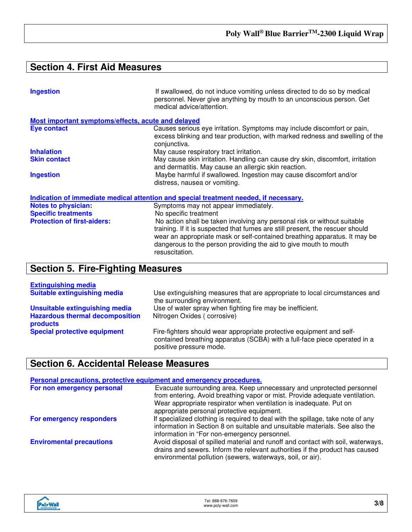## **Section 4. First Aid Measures**

| <b>Ingestion</b>                                                                      | If swallowed, do not induce vomiting unless directed to do so by medical<br>personnel. Never give anything by mouth to an unconscious person. Get<br>medical advice/attention. |  |
|---------------------------------------------------------------------------------------|--------------------------------------------------------------------------------------------------------------------------------------------------------------------------------|--|
| Most important symptoms/effects, acute and delayed                                    |                                                                                                                                                                                |  |
| <b>Eye contact</b>                                                                    | Causes serious eye irritation. Symptoms may include discomfort or pain,<br>excess blinking and tear production, with marked redness and swelling of the<br>conjunctiva.        |  |
| <b>Inhalation</b>                                                                     | May cause respiratory tract irritation.                                                                                                                                        |  |
| <b>Skin contact</b>                                                                   | May cause skin irritation. Handling can cause dry skin, discomfort, irritation<br>and dermatitis. May cause an allergic skin reaction.                                         |  |
| <b>Ingestion</b>                                                                      | Maybe harmful if swallowed. Ingestion may cause discomfort and/or<br>distress, nausea or vomiting.                                                                             |  |
| Indication of immediate medical attention and special treatment needed, if necessary. |                                                                                                                                                                                |  |
| <b>Notes to physician:</b>                                                            | Symptoms may not appear immediately.                                                                                                                                           |  |
| <b>Specific treatments</b>                                                            | No specific treatment                                                                                                                                                          |  |
|                                                                                       |                                                                                                                                                                                |  |

**Protection of first-aiders:** No action shall be taken involving any personal risk or without suitable training. If it is suspected that fumes are still present, the rescuer should wear an appropriate mask or self-contained breathing apparatus. It may be dangerous to the person providing the aid to give mouth to mouth resuscitation.

## **Section 5. Fire-Fighting Measures**

| <b>Extinguishing media</b>                         |                                                                                                                                                                              |
|----------------------------------------------------|------------------------------------------------------------------------------------------------------------------------------------------------------------------------------|
| <b>Suitable extinguishing media</b>                | Use extinguishing measures that are appropriate to local circumstances and<br>the surrounding environment.                                                                   |
| Unsuitable extinguishing media                     | Use of water spray when fighting fire may be inefficient.                                                                                                                    |
| <b>Hazardous thermal decomposition</b><br>products | Nitrogen Oxides (corrosive)                                                                                                                                                  |
| <b>Special protective equipment</b>                | Fire-fighters should wear appropriate protective equipment and self-<br>contained breathing apparatus (SCBA) with a full-face piece operated in a<br>positive pressure mode. |

## **Section 6. Accidental Release Measures**

| Personal precautions, protective equipment and emergency procedures. |                                                                                                                                                                                                                                                                          |  |
|----------------------------------------------------------------------|--------------------------------------------------------------------------------------------------------------------------------------------------------------------------------------------------------------------------------------------------------------------------|--|
| For non emergency personal                                           | Evacuate surrounding area. Keep unnecessary and unprotected personnel<br>from entering. Avoid breathing vapor or mist. Provide adequate ventilation.<br>Wear appropriate respirator when ventilation is inadequate. Put on<br>appropriate personal protective equipment. |  |
| For emergency responders                                             | If specialized clothing is required to deal with the spillage, take note of any<br>information in Section 8 on suitable and unsuitable materials. See also the<br>information in "For non-emergency personnel.                                                           |  |
| <b>Enviromental precautions</b>                                      | Avoid disposal of spilled material and runoff and contact with soil, waterways,<br>drains and sewers. Inform the relevant authorities if the product has caused<br>environmental pollution (sewers, waterways, soil, or air).                                            |  |

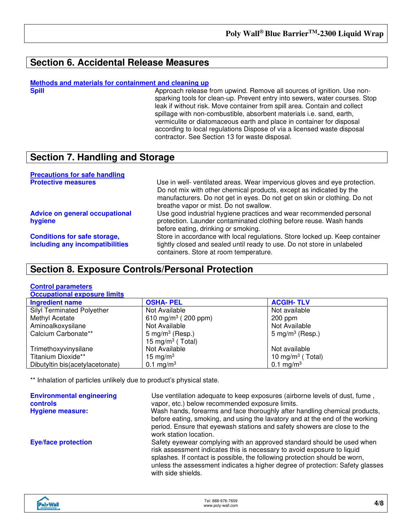## **Section 6. Accidental Release Measures**

**Methods and materials for containment and cleaning up**

Approach release from upwind. Remove all sources of ignition. Use nonsparking tools for clean-up. Prevent entry into sewers, water courses. Stop leak if without risk. Move container from spill area. Contain and collect spillage with non-combustible, absorbent materials i.e. sand, earth, vermiculite or diatomaceous earth and place in container for disposal according to local regulations Dispose of via a licensed waste disposal contractor. See Section 13 for waste disposal.

## **Section 7. Handling and Storage**

| <b>Precautions for safe handling</b>  |                                                                                                                                                  |
|---------------------------------------|--------------------------------------------------------------------------------------------------------------------------------------------------|
| <b>Protective measures</b>            | Use in well- ventilated areas. Wear impervious gloves and eye protection.<br>Do not mix with other chemical products, except as indicated by the |
|                                       | manufacturers. Do not get in eyes. Do not get on skin or clothing. Do not                                                                        |
|                                       | breathe vapor or mist. Do not swallow.                                                                                                           |
| <b>Advice on general occupational</b> | Use good industrial hygiene practices and wear recommended personal                                                                              |
| hygiene                               | protection. Launder contaminated clothing before reuse. Wash hands<br>before eating, drinking or smoking.                                        |
| <b>Conditions for safe storage,</b>   | Store in accordance with local regulations. Store locked up. Keep container                                                                      |
| including any incompatibilities       | tightly closed and sealed until ready to use. Do not store in unlabeled<br>containers. Store at room temperature.                                |

## **Section 8. Exposure Controls/Personal Protection**

### **Control parameters**

| <b>Occupational exposure limits</b> |                                 |                              |  |
|-------------------------------------|---------------------------------|------------------------------|--|
| <b>Ingredient name</b>              | <b>OSHA-PEL</b>                 | <b>ACGIH-TLV</b>             |  |
| <b>Silyl Terminated Polyether</b>   | Not Available                   | Not available                |  |
| Methyl Acetate                      | 610 mg/m <sup>3</sup> (200 ppm) | $200$ ppm                    |  |
| Aminoalkoxysilane                   | Not Available                   | Not Available                |  |
| Calcium Carbonate**                 | 5 mg/m <sup>3</sup> (Resp.)     | $5 \text{ mg/m}^3$ (Resp.)   |  |
|                                     | 15 mg/m <sup>3</sup> (Total)    |                              |  |
| Trimethoxyvinysilane                | Not Available                   | Not available                |  |
| Titanium Dioxide**                  | 15 mg/m $3$                     | 10 mg/m <sup>3</sup> (Total) |  |
| Dibutyltin bis(acetylacetonate)     | 0.1 mg/m <sup>3</sup>           | 0.1 mg/m <sup>3</sup>        |  |
|                                     |                                 |                              |  |

\*\* Inhalation of particles unlikely due to product's physical state.

| <b>Environmental engineering</b><br><b>controls</b><br><b>Hygiene measure:</b> | Use ventilation adequate to keep exposures (airborne levels of dust, fume,<br>vapor, etc.) below recommended exposure limits.<br>Wash hands, forearms and face thoroughly after handling chemical products,<br>before eating, smoking, and using the lavatory and at the end of the working<br>period. Ensure that eyewash stations and safety showers are close to the<br>work station location. |
|--------------------------------------------------------------------------------|---------------------------------------------------------------------------------------------------------------------------------------------------------------------------------------------------------------------------------------------------------------------------------------------------------------------------------------------------------------------------------------------------|
| <b>Eye/face protection</b>                                                     | Safety eyewear complying with an approved standard should be used when<br>risk assessment indicates this is necessary to avoid exposure to liquid<br>splashes. If contact is possible, the following protection should be worn,<br>unless the assessment indicates a higher degree of protection: Safety glasses<br>with side shields.                                                            |

| abulkla <sup>y</sup><br><b>BIRLOWG SOLUTIONS</b><br><b>THE END OF STREET</b> | Tel: 888-976-7659<br>www.poly-wall.com | 4/8 |
|------------------------------------------------------------------------------|----------------------------------------|-----|
|------------------------------------------------------------------------------|----------------------------------------|-----|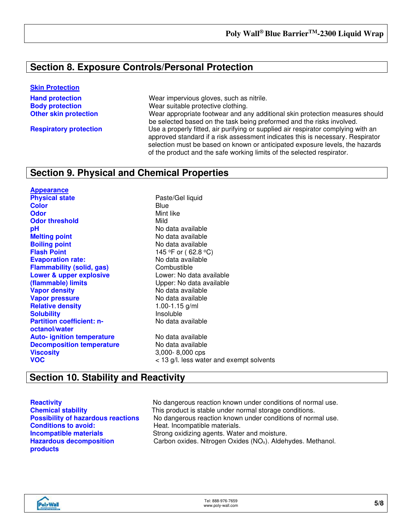## **Section 8. Exposure Controls/Personal Protection**

#### **Skin Protection**

**Hand protection Mear impervious gloves, such as nitrile.** Wear impervious gloves, such as nitrile. **Body protection Example 20** Wear suitable protective clothing. **Other skin protection** Wear appropriate footwear and any additional skin protection measures should be selected based on the task being preformed and the risks involved. **Respiratory protection** Use a properly fitted, air purifying or supplied air respirator complying with an approved standard if a risk assessment indicates this is necessary. Respirator selection must be based on known or anticipated exposure levels, the hazards of the product and the safe working limits of the selected respirator.

## **Section 9. Physical and Chemical Properties**

**Appearance Color** Blue **Odor** Mint like<br> **Odor threshold** Mild Mild **Odor threshold pH** No data available **Melting point**<br> **Boiling point**<br> **Boiling point**<br> **CO N**o data available **Flash Point** 145 °F or (62.8 °C) **Evaporation rate:** No data available<br> **Elammability (solid, gas)** Combustible **Flammability** (solid, gas) **Lower & upper explosive (flammable) limits Vapor density** No data available **Vapor pressure** No data available **Relative density** 1.00-1.15 g/ml **Solubility Partition coefficient: noctanol/water Auto- ignition temperature** No data available **Decomposition temperature** No data available **Viscosity** 3,000- 8,000 cps

**Paste/Gel liquid Boiling point** No data available Lower: No data available Upper: No data available No data available

#### **VOC** < 13 g/l. less water and exempt solvents

## **Section 10. Stability and Reactivity**

**Conditions to avoid:** Heat. Incompatible materials. **Hazardous decomposition products**

**Reactivity Reactivity No dangerous reaction known under conditions of normal use. Chemical stability** This product is stable under normal storage conditions.<br> **Possibility of hazardous reactions** No dangerous reaction known under conditions of norn No dangerous reaction known under conditions of normal use. **Incompatible materials** Strong oxidizing agents. Water and moisture. Carbon oxides. Nitrogen Oxides (NO<sub>x</sub>). Aldehydes. Methanol.

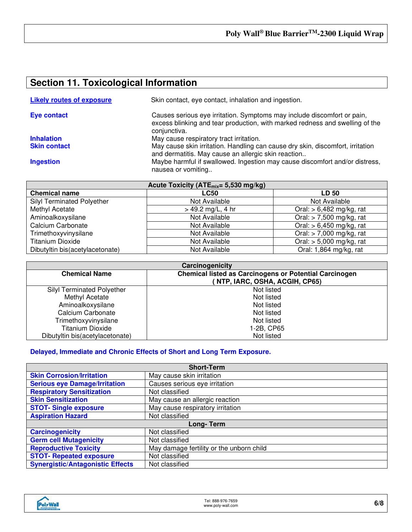## **Section 11. Toxicological Information**

| <b>Likely routes of exposure</b> | Skin contact, eye contact, inhalation and ingestion.                                                                                                                    |
|----------------------------------|-------------------------------------------------------------------------------------------------------------------------------------------------------------------------|
| <b>Eye contact</b>               | Causes serious eye irritation. Symptoms may include discomfort or pain,<br>excess blinking and tear production, with marked redness and swelling of the<br>conjunctiva. |
| <b>Inhalation</b>                | May cause respiratory tract irritation.                                                                                                                                 |
| <b>Skin contact</b>              | May cause skin irritation. Handling can cause dry skin, discomfort, irritation<br>and dermatitis. May cause an allergic skin reaction                                   |
| <b>Ingestion</b>                 | Maybe harmful if swallowed. Ingestion may cause discomfort and/or distress,<br>nausea or vomiting                                                                       |

| Acute Toxicity (ATE <sub>mix</sub> = 5,530 mg/kg) |                     |                            |
|---------------------------------------------------|---------------------|----------------------------|
| <b>Chemical name</b>                              | <b>LC50</b>         | LD 50                      |
| Silyl Terminated Polyether                        | Not Available       | Not Available              |
| Methyl Acetate                                    | $> 49.2$ mg/L, 4 hr | Oral: $> 6,482$ mg/kg, rat |
| Aminoalkoxysilane                                 | Not Available       | Oral: $> 7,500$ mg/kg, rat |
| Calcium Carbonate                                 | Not Available       | Oral: $> 6,450$ mg/kg, rat |
| Trimethoxyvinysilane                              | Not Available       | Oral: $>$ 7,000 mg/kg, rat |
| <b>Titanium Dioxide</b>                           | Not Available       | Oral: $> 5,000$ mg/kg, rat |
| Dibutyltin bis(acetylacetonate)                   | Not Available       | Oral: 1,864 mg/kg, rat     |

| Carcinogenicity                                                                                                        |            |  |
|------------------------------------------------------------------------------------------------------------------------|------------|--|
| <b>Chemical listed as Carcinogens or Potential Carcinogen</b><br><b>Chemical Name</b><br>NTP, IARC, OSHA, ACGIH, CP65) |            |  |
|                                                                                                                        |            |  |
| <b>Silyl Terminated Polyether</b>                                                                                      | Not listed |  |
| Methyl Acetate                                                                                                         | Not listed |  |
| Aminoalkoxysilane                                                                                                      | Not listed |  |
| Calcium Carbonate                                                                                                      | Not listed |  |
| Trimethoxyvinysilane                                                                                                   | Not listed |  |
| <b>Titanium Dioxide</b>                                                                                                | 1-2B, CP65 |  |
| Dibutyltin bis(acetylacetonate)                                                                                        | Not listed |  |

### **Delayed, Immediate and Chronic Effects of Short and Long Term Exposure.**

| <b>Short-Term</b>                       |                                          |  |
|-----------------------------------------|------------------------------------------|--|
| <b>Skin Corrosion/Irritation</b>        | May cause skin irritation                |  |
| <b>Serious eye Damage/Irritation</b>    | Causes serious eye irritation            |  |
| <b>Respiratory Sensitization</b>        | Not classified                           |  |
| <b>Skin Sensitization</b>               | May cause an allergic reaction           |  |
| <b>STOT- Single exposure</b>            | May cause respiratory irritation         |  |
| <b>Aspiration Hazard</b>                | Not classified                           |  |
| Long-Term                               |                                          |  |
| <b>Carcinogenicity</b>                  | Not classified                           |  |
| <b>Germ cell Mutagenicity</b>           | Not classified                           |  |
| <b>Reproductive Toxicity</b>            | May damage fertility or the unborn child |  |
| <b>STOT- Repeated exposure</b>          | Not classified                           |  |
| <b>Synergistic/Antagonistic Effects</b> | Not classified                           |  |

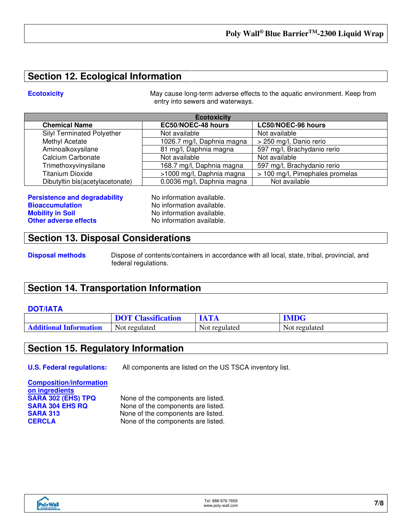## **Section 12. Ecological Information**

**Ecotoxicity** May cause long-term adverse effects to the aquatic environment. Keep from entry into sewers and waterways.

| <b>Ecotoxicity</b>                |                            |                                 |
|-----------------------------------|----------------------------|---------------------------------|
| <b>Chemical Name</b>              | EC50/NOEC-48 hours         | LC50/NOEC-96 hours              |
| <b>Silyl Terminated Polyether</b> | Not available              | Not available                   |
| Methyl Acetate                    | 1026.7 mg/l, Daphnia magna | > 250 mg/l, Danio rerio         |
| Aminoalkoxysilane                 | 81 mg/l, Daphnia magna     | 597 mg/l, Brachydanio rerio     |
| Calcium Carbonate                 | Not available              | Not available                   |
| Trimethoxyvinysilane              | 168.7 mg/l, Daphnia magna  | 597 mg/l, Brachydanio rerio     |
| <b>Titanium Dioxide</b>           | >1000 mg/l, Daphnia magna  | > 100 mg/l, Pimephales promelas |
| Dibutyltin bis(acetylacetonate)   | 0.0036 mg/l, Daphnia magna | Not available                   |

**Persistence and degradability** No information available. **Bioaccumulation No information available.**<br> **Mobility in Soil No information available. Other adverse effects** No information available.

No information available.

## **Section 13. Disposal Considerations**

**Disposal methods** Dispose of contents/containers in accordance with all local, state, tribal, provincial, and federal regulations.

## **Section 14. Transportation Information**

#### **DOT/IATA**

|                               | <b>DOT Classification</b> |               | <b>IMDG</b>   |
|-------------------------------|---------------------------|---------------|---------------|
| <b>Additional Information</b> | Not regulated             | Not regulated | Not regulated |

## **Section 15. Regulatory Information**

**U.S. Federal regulations:** All components are listed on the US TSCA inventory list.

# **Composition/information on ingredients**

**SARA 302 (EHS) TPQ** None of the components are listed.<br> **SARA 304 EHS RQ** None of the components are listed. **SARA 304 EHS RQ** None of the components are listed.<br> **SARA 313** None of the components are listed. **SARA 313** None of the components are listed.<br>**CERCLA** None of the components are listed. None of the components are listed.